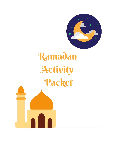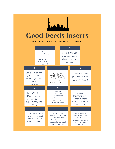

## **Good Deeds Inserts**

## **FOR RAMADAN COUNTDOWN CALENDAR**

|                                                                                                    |                                                                                     |                     | 1                                                                                                                 |                                                                                         |                                                                      | 2                                                                    |                                                                                     |                                                   |                                            |
|----------------------------------------------------------------------------------------------------|-------------------------------------------------------------------------------------|---------------------|-------------------------------------------------------------------------------------------------------------------|-----------------------------------------------------------------------------------------|----------------------------------------------------------------------|----------------------------------------------------------------------|-------------------------------------------------------------------------------------|---------------------------------------------------|--------------------------------------------|
| Help your<br>parents with<br>(boring) chores<br>around the house<br>(even if you don't<br>want to) |                                                                                     |                     |                                                                                                                   |                                                                                         | Take a gift to your<br>neighbor, like a<br>plate of yummy<br>cookies |                                                                      |                                                                                     |                                                   |                                            |
|                                                                                                    | $\overline{3}$                                                                      |                     |                                                                                                                   |                                                                                         | 4                                                                    |                                                                      |                                                                                     |                                                   | 5                                          |
|                                                                                                    | Smile at everyone<br>you see, even if<br>you feel grouchy:<br>Smiling is<br>Sadaqah |                     |                                                                                                                   | <b>SAY NICE</b><br><b>WORDS TO YOUR</b><br>SIBLINGS EVEN IF<br>THEY ARE<br>ANNOYING YOU |                                                                      |                                                                      |                                                                                     | Read a whole<br>page of Quran!<br>You can do it!! |                                            |
|                                                                                                    | 6                                                                                   |                     |                                                                                                                   | $\overline{7}$                                                                          |                                                                      |                                                                      | 8                                                                                   |                                                   |                                            |
|                                                                                                    | Fast a WHOLE<br>Day of Fasting,<br>even if you feel<br>super hungry and<br>thirsty  |                     | Pray all your<br>prayers in the<br>whole day! Yes,<br>that even means<br>getting up early<br>out of bed for Fajr! |                                                                                         |                                                                      |                                                                      | Hug your<br>Mommy's feet:<br>Jannah is under<br>there, even if you<br>don't see it! |                                                   |                                            |
|                                                                                                    | 9                                                                                   |                     |                                                                                                                   | 10                                                                                      |                                                                      |                                                                      |                                                                                     | $\mathbf{II}$                                     |                                            |
|                                                                                                    | Go to the Masjid and                                                                | Try to Pray Some of |                                                                                                                   |                                                                                         |                                                                      | Take some of your<br>money and put it into the<br>Sadagah Box at the |                                                                                     | Think of her like a                               | If Mama is sleeping,<br>don't wake her up. |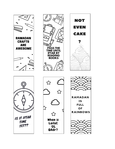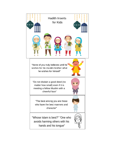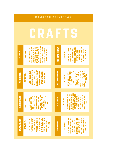| <b>AMADAN COUNTDOWN</b><br>R |                         |                                                                                                                                                                                                                                                                                                                                                      |  |                                |                                                                                                                                                                                                                                                                                                                                                                                   |  |  |  |  |  |
|------------------------------|-------------------------|------------------------------------------------------------------------------------------------------------------------------------------------------------------------------------------------------------------------------------------------------------------------------------------------------------------------------------------------------|--|--------------------------------|-----------------------------------------------------------------------------------------------------------------------------------------------------------------------------------------------------------------------------------------------------------------------------------------------------------------------------------------------------------------------------------|--|--|--|--|--|
|                              |                         |                                                                                                                                                                                                                                                                                                                                                      |  |                                |                                                                                                                                                                                                                                                                                                                                                                                   |  |  |  |  |  |
| <b>DUAA BOOKLET</b>          | <b>NSTRUCTIONS:</b>     | MAKE A BOOKLET. HOLE PUNCH THE<br><b>IIDDLE AND PUT A STRING THROUGH</b><br>IT TO PULL IT TOGETHER. WRITE A<br>VITH MULTIPLE COLORS. CUT THEM<br>VINGS) INTO A PIECE OF COLORED<br>OUT AND FOLD IN THE MIDDLE TO<br>DIFFERENT DUAA ON EACH PAGE.<br><b>TRACE YOUR TWO HANDS (LIKE</b><br>CONSTRUCTION PAPER. DO THAT<br><b>HANG BY YOUR BEDSIDE.</b> |  | <b>MOON SIGHTING BINOCULAR</b> | PUNCH ONE SIDE OF EACH END<br>DECORATE WITH MOONS AND<br>ROLLS TOGETHER TO LOOK<br>GLUE TWO TOILET PAPER<br>LIKE BINOCULARS. HOLE<br>AT THE TOP AND PUT A<br>STARS AND SIGHT THE<br>STRING THROUGH IT.<br>RAMADAN MOON<br><b>NSTRUCTIONS:</b>                                                                                                                                     |  |  |  |  |  |
| DIY DHIKR BEADS              | <b>INSTRUCTIONS:</b>    | DHIKR WITH THEM TO KEEP<br>END AND USE BY MAKING<br>BEADS AND PLACE THEM<br><b>UNTO A STRING. TIE THE</b><br>TRACK. CAN EVEN BE<br>GATHER 100 COLORED<br>USED AS DECOR.                                                                                                                                                                              |  | <b>MASJID ON A BROWN BAG</b>   | <b>MASJID. DECORATE AS</b><br>DOME. GLUE THEM<br>Unto the top of the<br>BROWN PAPER LUNCH<br>BAG TO LOOK LIKE A<br>FOLD THE TOP OF A<br>BAG AND GLUE. IT<br>Should Look Like <i>i</i><br>TRIANGLE, CUT OUT<br><b>MINARETS AND A</b><br>YOU PLEASE.<br><b>NSTRUCTIONS:</b>                                                                                                         |  |  |  |  |  |
| <b>RAMADAN CHAIN</b>         | ä<br><b>INSTRUCTION</b> | ALTERNATE COLORS<br>PAPER INTO STRIPS<br>ACH<br>CUT CONSTRUCTION<br>š<br>≌∎<br>ی<br>سا<br>EACH STRIP. USE<br>OF PAPER. DRAW<br><b>OF STRIPS AND</b><br>CRESCENT MOO<br>AND LANTERNS<br>STAPLE INTO E<br><b>OTHER TO MAK</b><br>CHAIN.                                                                                                                |  | <b>PAPER LANTERNS</b>          | <b>N THE MIDDLE. UNFOLD AND MAKE</b><br>THE SIDE. CUT HORIZONTAL LINES<br>HALF AND CUT A STRIP OUT FROM<br><b>PAPER IN</b><br>EXTRA STRIP UNTO THE TOP AS A<br>INTO A CYLINDER AND TAPE THE<br><b>LANTERN APPEARS. GLUE THE</b><br>OTHER UNTIL THE SHAPE OF A<br>VERTICALLY TOWARDS EACH<br>SIDES. PUSH THE SIDES<br><b>INSTRUCTIONS</b><br>FOLD A CONSTRUCTION<br><b>HANDLE.</b> |  |  |  |  |  |
| <b>RAMADAN BANNER</b>        | <b>INSTRUCTIONS:</b>    | <b>NRITE THE LETTERS OF</b><br><b>THE HOLIDAY GREETING</b><br>PAPER INTO AN UPSIDE<br>DF YOUR CHOICE. TAPE<br>THEM TO A WALL OR A<br><b>STRING TO COMPLETE</b><br>CUT CONSTRUCTION<br>DOWN TRIANGLE.<br>THE LOOK.                                                                                                                                    |  | <b>RAMADAN MOBILE</b>          | THE MOONS AND STARS ON IT.<br>HORIZONTAL STRIP AND TAPE<br>CUT COLORED CONSTRUCTION<br>CONSTRUCTION PAPER. HANG<br>PAPER INTO CRESCENTS AND<br><b>STRING DOWN FROM THE</b><br>STARS. CUT OUT A LONG<br><b>HORIZONTAL STRIP OF</b><br>HANG TO DECORATE.<br><b>NSTRUCTIONS:</b>                                                                                                     |  |  |  |  |  |